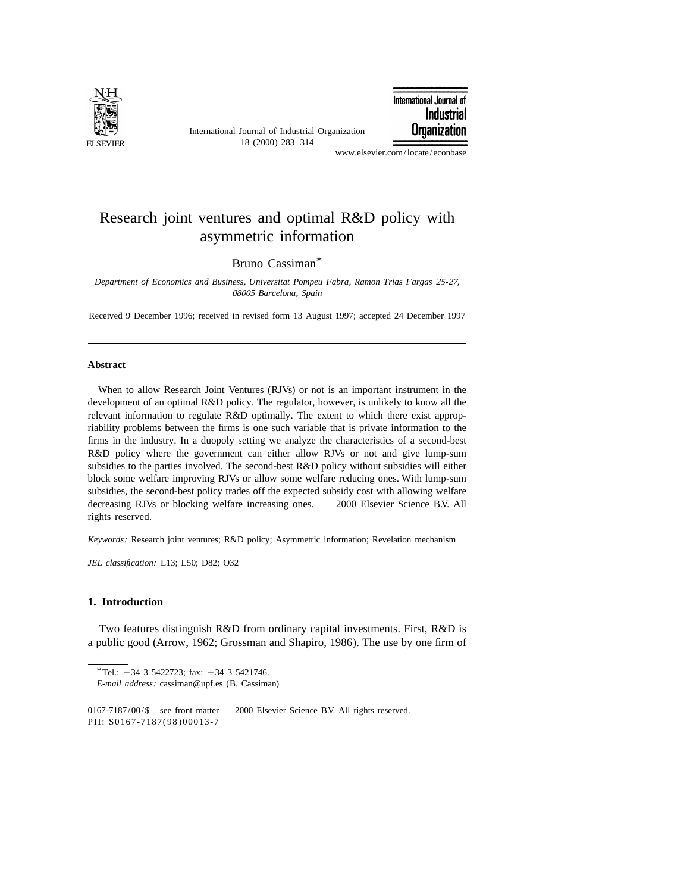

International Journal of Industrial Organization 18 (2000) 283–314

International Journal of **Industrial Organization** 

www.elsevier.com/locate/econbase

## Research joint ventures and optimal R&D policy with asymmetric information

Bruno Cassiman\*

*Department of Economics and Business*, *Universitat Pompeu Fabra*, *Ramon Trias Fargas* <sup>25</sup>-27, <sup>08005</sup> *Barcelona*, *Spain*

Received 9 December 1996; received in revised form 13 August 1997; accepted 24 December 1997

## **Abstract**

When to allow Research Joint Ventures (RJVs) or not is an important instrument in the development of an optimal R&D policy. The regulator, however, is unlikely to know all the relevant information to regulate R&D optimally. The extent to which there exist appropriability problems between the firms is one such variable that is private information to the firms in the industry. In a duopoly setting we analyze the characteristics of a second-best R&D policy where the government can either allow RJVs or not and give lump-sum subsidies to the parties involved. The second-best R&D policy without subsidies will either block some welfare improving RJVs or allow some welfare reducing ones. With lump-sum subsidies, the second-best policy trades off the expected subsidy cost with allowing welfare decreasing RJVs or blocking welfare increasing ones.  $\circ$  2000 Elsevier Science B.V. All rights reserved.

*Keywords*: Research joint ventures; R&D policy; Asymmetric information; Revelation mechanism

*JEL classification*: L13; L50; D82; O32

## **1. Introduction**

Two features distinguish R&D from ordinary capital investments. First, R&D is a public good (Arrow, 1962; Grossman and Shapiro, 1986). The use by one firm of

<sup>\*</sup>Tel.:  $+34$  3 5422723; fax:  $+34$  3 5421746.

*E*-*mail address*: cassiman@upf.es (B. Cassiman)

<sup>0167-7187/00/\$ –</sup> see front matter  $\odot$  2000 Elsevier Science B.V. All rights reserved. PII: S0167-7187(98)00013-7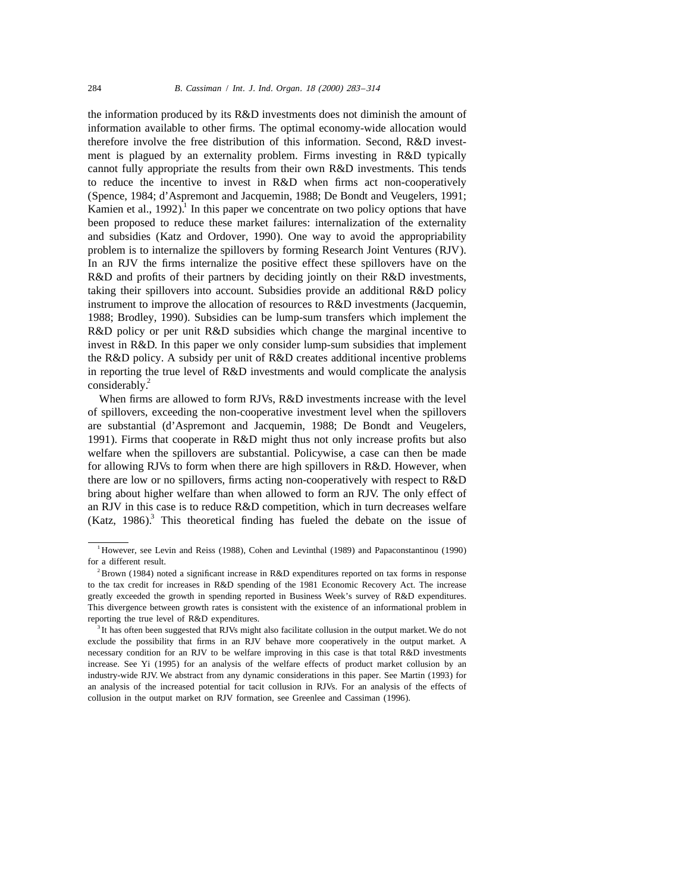the information produced by its R&D investments does not diminish the amount of information available to other firms. The optimal economy-wide allocation would therefore involve the free distribution of this information. Second, R&D investment is plagued by an externality problem. Firms investing in R&D typically cannot fully appropriate the results from their own R&D investments. This tends to reduce the incentive to invest in R&D when firms act non-cooperatively (Spence, 1984; d'Aspremont and Jacquemin, 1988; De Bondt and Veugelers, 1991; Kamien et al., 1992).<sup>1</sup> In this paper we concentrate on two policy options that have been proposed to reduce these market failures: internalization of the externality and subsidies (Katz and Ordover, 1990). One way to avoid the appropriability problem is to internalize the spillovers by forming Research Joint Ventures (RJV). In an RJV the firms internalize the positive effect these spillovers have on the R&D and profits of their partners by deciding jointly on their R&D investments, taking their spillovers into account. Subsidies provide an additional R&D policy instrument to improve the allocation of resources to R&D investments (Jacquemin, 1988; Brodley, 1990). Subsidies can be lump-sum transfers which implement the R&D policy or per unit R&D subsidies which change the marginal incentive to invest in R&D. In this paper we only consider lump-sum subsidies that implement the R&D policy. A subsidy per unit of R&D creates additional incentive problems in reporting the true level of R&D investments and would complicate the analysis considerably.<sup>2</sup>

When firms are allowed to form RJVs, R&D investments increase with the level of spillovers, exceeding the non-cooperative investment level when the spillovers are substantial (d'Aspremont and Jacquemin, 1988; De Bondt and Veugelers, 1991). Firms that cooperate in R&D might thus not only increase profits but also welfare when the spillovers are substantial. Policywise, a case can then be made for allowing RJVs to form when there are high spillovers in R&D. However, when there are low or no spillovers, firms acting non-cooperatively with respect to R&D bring about higher welfare than when allowed to form an RJV. The only effect of an RJV in this case is to reduce R&D competition, which in turn decreases welfare  $(Katz, 1986)^3$ . This theoretical finding has fueled the debate on the issue of

<sup>&</sup>lt;sup>1</sup> However, see Levin and Reiss (1988), Cohen and Levinthal (1989) and Papaconstantinou (1990) for a different result.

 $2^2$ Brown (1984) noted a significant increase in R&D expenditures reported on tax forms in response to the tax credit for increases in R&D spending of the 1981 Economic Recovery Act. The increase greatly exceeded the growth in spending reported in Business Week's survey of R&D expenditures. This divergence between growth rates is consistent with the existence of an informational problem in reporting the true level of R&D expenditures.

<sup>&</sup>lt;sup>3</sup> It has often been suggested that RJVs might also facilitate collusion in the output market. We do not exclude the possibility that firms in an RJV behave more cooperatively in the output market. A necessary condition for an RJV to be welfare improving in this case is that total R&D investments increase. See Yi (1995) for an analysis of the welfare effects of product market collusion by an industry-wide RJV. We abstract from any dynamic considerations in this paper. See Martin (1993) for an analysis of the increased potential for tacit collusion in RJVs. For an analysis of the effects of collusion in the output market on RJV formation, see Greenlee and Cassiman (1996).